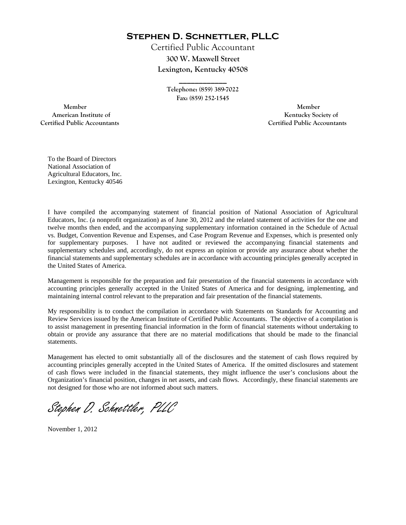**Stephen D. Schnettler, PLLC**

Certified Public Accountant **300 W. Maxwell Street Lexington, Kentucky 40508** 

> **Telephone: (859) 389-7022 Fax: (859) 252-1545**

**\_\_\_\_\_\_\_\_\_\_\_\_** 

 **Member Member Certified Public Accountants Certified Public Accountants** 

American Institute of **Kentucky Society of** 

To the Board of Directors National Association of Agricultural Educators, Inc. Lexington, Kentucky 40546

I have compiled the accompanying statement of financial position of National Association of Agricultural Educators, Inc. (a nonprofit organization) as of June 30, 2012 and the related statement of activities for the one and twelve months then ended, and the accompanying supplementary information contained in the Schedule of Actual vs. Budget, Convention Revenue and Expenses, and Case Program Revenue and Expenses, which is presented only for supplementary purposes. I have not audited or reviewed the accompanying financial statements and supplementary schedules and, accordingly, do not express an opinion or provide any assurance about whether the financial statements and supplementary schedules are in accordance with accounting principles generally accepted in the United States of America.

Management is responsible for the preparation and fair presentation of the financial statements in accordance with accounting principles generally accepted in the United States of America and for designing, implementing, and maintaining internal control relevant to the preparation and fair presentation of the financial statements.

My responsibility is to conduct the compilation in accordance with Statements on Standards for Accounting and Review Services issued by the American Institute of Certified Public Accountants. The objective of a compilation is to assist management in presenting financial information in the form of financial statements without undertaking to obtain or provide any assurance that there are no material modifications that should be made to the financial statements.

Management has elected to omit substantially all of the disclosures and the statement of cash flows required by accounting principles generally accepted in the United States of America. If the omitted disclosures and statement of cash flows were included in the financial statements, they might influence the user's conclusions about the Organization's financial position, changes in net assets, and cash flows. Accordingly, these financial statements are not designed for those who are not informed about such matters.

Stephen D. Schnettler, PLLC

November 1, 2012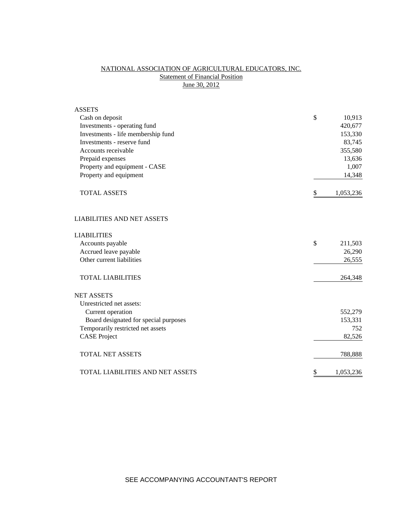# NATIONAL ASSOCIATION OF AGRICULTURAL EDUCATORS, INC. **Statement of Financial Position** June 30, 2012

| <b>ASSETS</b>                         |                 |
|---------------------------------------|-----------------|
| Cash on deposit                       | \$<br>10,913    |
| Investments - operating fund          | 420,677         |
| Investments - life membership fund    | 153,330         |
| Investments - reserve fund            | 83,745          |
| Accounts receivable                   | 355,580         |
| Prepaid expenses                      | 13,636          |
| Property and equipment - CASE         | 1,007           |
| Property and equipment                | 14,348          |
| <b>TOTAL ASSETS</b>                   | \$<br>1,053,236 |
| <b>LIABILITIES AND NET ASSETS</b>     |                 |
| <b>LIABILITIES</b>                    |                 |
| Accounts payable                      | \$<br>211,503   |
| Accrued leave payable                 | 26,290          |
| Other current liabilities             | 26,555          |
| <b>TOTAL LIABILITIES</b>              | 264,348         |
| <b>NET ASSETS</b>                     |                 |
| Unrestricted net assets:              |                 |
| Current operation                     | 552,279         |
| Board designated for special purposes | 153,331         |
| Temporarily restricted net assets     | 752             |
| <b>CASE Project</b>                   | 82,526          |
| <b>TOTAL NET ASSETS</b>               | 788,888         |
| TOTAL LIABILITIES AND NET ASSETS      | \$<br>1,053,236 |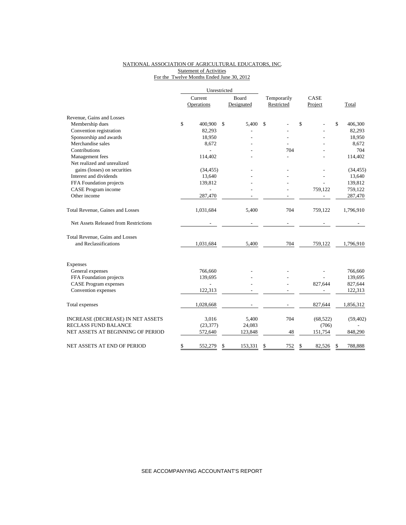## NATIONAL ASSOCIATION OF AGRICULTURAL EDUCATORS, INC. Statement of Activities For the Twelve Months Ended June 30, 2012

|                                       | Unrestricted |                |    |            |             |            |      |           |               |
|---------------------------------------|--------------|----------------|----|------------|-------------|------------|------|-----------|---------------|
|                                       | Current      |                |    | Board      | Temporarily |            | CASE |           |               |
|                                       |              | Operations     |    | Designated |             | Restricted |      | Project   | Total         |
| Revenue, Gains and Losses             |              |                |    |            |             |            |      |           |               |
| Membership dues                       | \$           | 400,900        | \$ | 5,400      | \$          |            | \$   |           | \$<br>406,300 |
| Convention registration               |              | 82,293         |    |            |             |            |      |           | 82,293        |
| Sponsorship and awards                |              | 18,950         |    |            |             |            |      |           | 18,950        |
| Merchandise sales                     |              | 8,672          |    |            |             |            |      |           | 8,672         |
| Contributions                         |              |                |    |            |             | 704        |      |           | 704           |
| Management fees                       |              | 114,402        |    |            |             |            |      |           | 114,402       |
| Net realized and unrealized           |              |                |    |            |             |            |      |           |               |
| gains (losses) on securities          |              | (34, 455)      |    |            |             |            |      |           | (34, 455)     |
| Interest and dividends                |              | 13,640         |    |            |             |            |      |           | 13,640        |
| FFA Foundation projects               |              | 139,812        |    |            |             |            |      |           | 139,812       |
| CASE Program income                   |              |                |    |            |             |            |      | 759,122   | 759,122       |
| Other income                          |              | 287,470        |    |            |             |            |      |           | 287,470       |
| Total Revenue, Gaines and Losses      |              | 1,031,684      |    | 5,400      |             | 704        |      | 759,122   | 1,796,910     |
| Net Assets Released from Restrictions |              |                |    |            |             |            |      |           |               |
| Total Revenue, Gains and Losses       |              |                |    |            |             |            |      |           |               |
| and Reclassifications                 |              | 1,031,684      |    | 5,400      |             | 704        |      | 759,122   | 1,796,910     |
| Expenses                              |              |                |    |            |             |            |      |           |               |
| General expenses                      |              | 766,660        |    |            |             |            |      |           | 766,660       |
| FFA Foundation projects               |              | 139,695        |    |            |             |            |      |           | 139,695       |
| <b>CASE Program expenses</b>          |              | $\overline{a}$ |    |            |             |            |      | 827,644   | 827,644       |
| Convention expenses                   |              | 122,313        |    |            |             |            |      |           | 122,313       |
| Total expenses                        |              | 1,028,668      |    |            |             |            |      | 827,644   | 1,856,312     |
| INCREASE (DECREASE) IN NET ASSETS     |              | 3,016          |    | 5,400      |             | 704        |      | (68, 522) | (59, 402)     |
| RECLASS FUND BALANCE                  |              | (23, 377)      |    | 24,083     |             |            |      | (706)     |               |
| NET ASSETS AT BEGINNING OF PERIOD     |              | 572,640        |    | 123,848    |             | 48         |      | 151,754   | 848,290       |
| NET ASSETS AT END OF PERIOD           | \$           | 552,279        | \$ | 153,331    | \$          | 752        | \$   | 82,526    | \$<br>788,888 |

SEE ACCOMPANYING ACCOUNTANT'S REPORT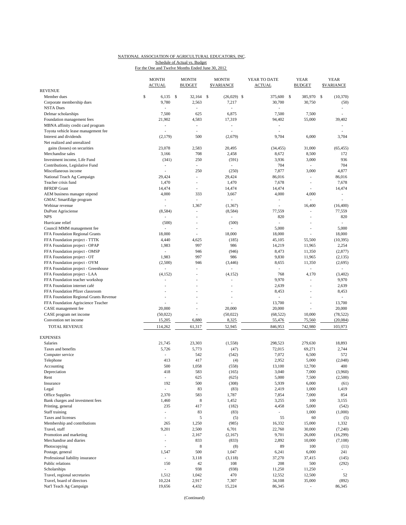### NATIONAL ASSOCIATION OF AGRICULTURAL EDUCATORS, INC. Schedule of Actual vs. Budget

For the One and Twelve Months Ended June 30, 2012

|                                        | <b>MONTH</b>             | <b>MONTH</b>             | <b>MONTH</b>             | YEAR TO DATE                | <b>YEAR</b>              |      | <b>YEAR</b>                 |
|----------------------------------------|--------------------------|--------------------------|--------------------------|-----------------------------|--------------------------|------|-----------------------------|
|                                        | <b>ACTUAL</b>            | <b>BUDGET</b>            | <b><i>SVARIANCE</i></b>  | <b>ACTUAL</b>               | BUDGET                   |      | <b>\$VARIANCE</b>           |
| <b>REVENUE</b>                         |                          |                          |                          |                             |                          |      |                             |
| Member dues                            | \$<br>$6,135$ \$         | 32,164                   | \$<br>$(26,029)$ \$      | 375,600 \$                  | 385,970                  | - \$ | (10, 370)                   |
| Corporate membership dues              | 9,780                    | 2,563                    | 7,217                    | 30,700                      | 30,750                   |      | (50)                        |
| <b>NSTA Dues</b>                       |                          |                          |                          |                             |                          |      | ٠                           |
| Delmar scholarships                    | 7,500                    | 625                      | 6,875                    | 7,500                       | 7,500                    |      |                             |
| Foundation management fees             | 21,902                   | 4,583                    | 17,319                   | 94,402                      | 55,000                   |      | 39,402                      |
| MBNA affinity credit card program      | ä,                       | ÷.                       | ٠                        | ÷,                          |                          |      |                             |
| Toyota vehicle lease management fee    |                          | à.                       |                          | ÷.                          |                          |      |                             |
| Interest and dividends                 | (2,179)                  | 500                      | (2,679)                  | 9,704                       | 6,000                    |      | 3,704                       |
| Net realized and unrealized            |                          |                          |                          |                             |                          |      |                             |
| gains (losses) on securities           | 23,078                   | 2,583                    | 20,495                   | (34, 455)                   | 31,000                   |      | (65, 455)                   |
| Merchandise sales                      | 3,166                    | 708                      |                          |                             |                          |      |                             |
|                                        |                          |                          | 2,458                    | 8,672                       | 8,500                    |      | 172                         |
| Investment income, Life Fund           | (341)                    | 250                      | (591)                    | 3,936                       | 3,000                    |      | 936                         |
| Contributions, Legislative Fund        | $\overline{\phantom{a}}$ | ÷.                       | $\overline{\phantom{a}}$ | 704                         | $\overline{\phantom{a}}$ |      | 704                         |
| Miscellaneous income                   | L.                       | 250                      | (250)                    | 7,877                       | 3,000                    |      | 4,877                       |
| National Teach Ag Campaign             | 29,424                   | ÷.                       | 29,424                   | 86,016                      | ÷,                       |      | 86,016                      |
| Teacher crisis fund                    | 1,470                    | $\overline{\phantom{a}}$ | 1,470                    | 7,678                       | $\overline{\phantom{a}}$ |      | 7,678                       |
| <b>BFRDP</b> Grant                     | 14,474                   | ٠                        | 14,474                   | 14,474                      | $\sim$                   |      | 14,474                      |
| AEM business manager stipend           | 4,000                    | 333                      | 3,667                    | 4,000                       | 4,000                    |      | $\overline{\phantom{a}}$    |
| GMAC SmartEdge program                 | ä,                       | L.                       |                          | $\overline{\phantom{0}}$    | ÷,                       |      |                             |
| Webinar revenue                        |                          | 1,367                    | (1, 367)                 | L,                          | 16,400                   |      | (16, 400)                   |
| DuPont Agrisciense                     | (8,584)                  | à.                       | (8, 584)                 | 77,559                      | ÷.                       |      | 77,559                      |
| <b>NPS</b>                             | ÷                        | ä,                       | $\sim$                   | 820                         | ٠                        |      | 820                         |
| Hurricane relief                       | (500)                    |                          | (500)                    | ÷,                          |                          |      | $\mathcal{L}_{\mathcal{A}}$ |
| Council MMM management fee             | ÷,                       | $\overline{a}$           | ٠                        | 5,000                       |                          |      | 5,000                       |
| FFA Foundation Regional Grants         | 18,000                   | ä,                       | 18,000                   | 18,000                      |                          |      | 18,000                      |
| FFA Foundation project - TTTK          | 4,440                    | 4,625                    | (185)                    | 45,105                      | 55,500                   |      | (10, 395)                   |
| FFA Foundation project - OPAP          | 1,983                    | 997                      | 986                      | 14,219                      | 11,965                   |      | 2,254                       |
| FFA Foundation project - OMSP          |                          | 946                      | (946)                    | 8,473                       | 11,350                   |      | (2, 877)                    |
| FFA Foundation project - OT            | 1,983                    | 997                      | 986                      | 9,830                       | 11,965                   |      | (2, 135)                    |
|                                        | (2,500)                  | 946                      | (3, 446)                 | 8,655                       | 11,350                   |      | (2,695)                     |
| FFA Foundation project - OYM           | ÷,                       | ä,                       | ÷,                       | ÷                           | $\overline{\phantom{a}}$ |      | ÷.                          |
| FFA Foundation project - Greenhouse    |                          |                          |                          |                             |                          |      |                             |
| FFA Foundation project - LAA           | (4,152)                  | $\overline{a}$           | (4,152)                  | 768                         | 4,170                    |      | (3,402)                     |
| FFA Foundation teacher workshop        |                          |                          |                          | 9,970                       | ÷,                       |      | 9,970                       |
| FFA Foundation internet café           | ٠                        | $\overline{a}$           |                          | 2,639                       | ٠                        |      | 2,639                       |
| FFA Foundation Pfizer classroom        |                          |                          |                          | 8,453                       |                          |      | 8,453                       |
| FFA Foundation Regional Grants Revenue |                          |                          |                          | ÷.                          |                          |      |                             |
| FFA Foundation Agriscience Teacher     |                          |                          |                          | 13,700                      |                          |      | 13,700                      |
| CASE management fee                    | 20,000                   | i.                       | 20,000                   | 20,000                      | ÷,                       |      | 20,000                      |
| CASE program net income                | (50,022)                 | $\overline{a}$           | (50,022)                 | (68, 522)                   | 10,000                   |      | (78, 522)                   |
| Convention net income                  | 15,205                   | 6,880                    | 8,325                    | 55,476                      | 75,560                   |      | (20,084)                    |
| <b>TOTAL REVENUE</b>                   | 114,262                  | 61,317                   | 52,945                   | 846,953                     | 742,980                  |      | 103,973                     |
|                                        |                          |                          |                          |                             |                          |      |                             |
| <b>EXPENSES</b>                        |                          |                          |                          |                             |                          |      |                             |
| Salaries                               | 21,745                   | 23,303                   | (1, 558)                 | 298,523                     | 279,630                  |      | 18,893                      |
| Taxes and benefits                     | 5,726                    | 5,773                    | (47)                     | 72,015                      | 69,271                   |      | 2,744                       |
| Computer service                       | L                        | 542                      | (542)                    | 7,072                       | 6,500                    |      | 572                         |
| Telephone                              | 413                      | 417                      | (4)                      | 2,952                       | 5,000                    |      | (2,048)                     |
| Accounting                             | 500                      | 1,058                    | (558)                    | 13,100                      | 12,700                   |      | 400                         |
| Depreciation                           | 418                      | 583                      | (165)                    | 3,040                       | 7,000                    |      | (3,960)                     |
| Rent                                   | ä,                       |                          |                          |                             |                          |      |                             |
|                                        |                          | 625                      | (625)                    | 5,000                       | 7,500                    |      | (2,500)                     |
| Insurance                              | 192                      | 500                      | (308)                    | 5,939                       | 6,000                    |      | (61)                        |
| Legal                                  |                          | 83                       | (83)                     | 2,419                       | 1,000                    |      | 1,419                       |
| Office Supplies                        | 2,370                    | 583                      | 1,787                    | 7,854                       | 7,000                    |      | 854                         |
| Bank charges and investment fees       | 1,460                    | 8                        | 1,452                    | 3,255                       | 100                      |      | 3,155                       |
| Printing, general                      | 235                      | 417                      | (182)                    | 4,458                       | 5,000                    |      | (542)                       |
| Staff training                         | $\overline{\phantom{a}}$ | 83                       | (83)                     | $\mathcal{L}_{\mathcal{A}}$ | 1,000                    |      | (1,000)                     |
| Taxes and licenses                     | L,                       | 5                        | (5)                      | 55                          | 60                       |      | (5)                         |
| Membership and contributions           | 265                      | 1,250                    | (985)                    | 16,332                      | 15,000                   |      | 1,332                       |
| Travel, staff                          | 9,201                    | 2,500                    | 6,701                    | 22,760                      | 30,000                   |      | (7,240)                     |
| Promotion and marketing                | ×.                       | 2,167                    | (2,167)                  | 9,701                       | 26,000                   |      | (16, 299)                   |
| Merchandise and diaries                | ÷,                       | 833                      | (833)                    | 2,892                       | 10,000                   |      | (7,108)                     |
| Photocopying                           |                          | 8                        | (8)                      | 89                          | 100                      |      | (11)                        |
| Postage, general                       | 1,547                    | 500                      | 1,047                    | 6,241                       | 6,000                    |      | 241                         |
| Professional liability insurance       | ÷,                       | 3,118                    | (3, 118)                 | 37,270                      | 37,415                   |      | (145)                       |
| Public relations                       | 150                      | 42                       | 108                      | 208                         | 500                      |      | (292)                       |
| Scholarships                           |                          | 938                      | (938)                    | 11,250                      | 11,250                   |      |                             |
| Travel, regional secretaries           | 1,512                    | 1,042                    | 470                      | 12,552                      | 12,500                   |      | 52                          |
| Travel, board of directors             | 10,224                   | 2,917                    | 7,307                    | 34,108                      | 35,000                   |      | (892)                       |
| Nat'l Teach Ag Campaign                |                          | 4,432                    | 15,224                   |                             | $\sim$                   |      | 86,345                      |
|                                        | 19,656                   |                          |                          | 86,345                      |                          |      |                             |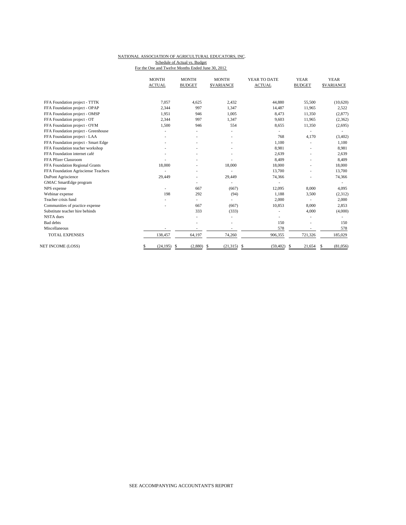## NATIONAL ASSOCIATION OF AGRICULTURAL EDUCATORS, INC. Schedule of Actual vs. Budget

For the One and Twelve Months Ended June 30, 2012

|                                     | <b>MONTH</b><br><b>ACTUAL</b> | <b>MONTH</b><br><b>BUDGET</b> | <b>MONTH</b><br><b>SVARIANCE</b> | YEAR TO DATE<br><b>ACTUAL</b> | <b>YEAR</b><br><b>BUDGET</b> | <b>YEAR</b><br><b>SVARIANCE</b> |
|-------------------------------------|-------------------------------|-------------------------------|----------------------------------|-------------------------------|------------------------------|---------------------------------|
| FFA Foundation project - TTTK       | 7,057                         | 4,625                         | 2,432                            | 44,880                        | 55,500                       | (10,620)                        |
| FFA Foundation project - OPAP       | 2,344                         | 997                           | 1,347                            | 14,487                        | 11,965                       | 2,522                           |
| FFA Foundation project - OMSP       | 1,951                         | 946                           | 1,005                            | 8,473                         | 11,350                       | (2,877)                         |
| FFA Foundation project - OT         | 2,344                         | 997                           | 1,347                            | 9,603                         | 11,965                       | (2, 362)                        |
| FFA Foundation project - OYM        | 1,500                         | 946                           | 554                              | 8,655                         | 11,350                       | (2,695)                         |
| FFA Foundation project - Greenhouse |                               |                               |                                  |                               |                              |                                 |
| FFA Foundation project - LAA        |                               |                               | $\overline{a}$                   | 768                           | 4,170                        | (3, 402)                        |
| FFA Foundation project - Smart Edge |                               |                               |                                  | 1,100                         |                              | 1,100                           |
| FFA Foundation teacher workshop     |                               |                               |                                  | 8,981                         |                              | 8,981                           |
| FFA Foundation internet café        |                               |                               |                                  | 2.639                         |                              | 2,639                           |
| FFA Pfizer Classroom                |                               |                               |                                  | 8,409                         |                              | 8,409                           |
| FFA Foundation Regional Grants      | 18,000                        |                               | 18,000                           | 18,000                        |                              | 18,000                          |
| FFA Foundation Agrisciense Teachers |                               |                               |                                  | 13,700                        |                              | 13,700                          |
| DuPont Agriscience                  | 29,449                        |                               | 29,449                           | 74,366                        |                              | 74,366                          |
| GMAC SmartEdge program              |                               |                               |                                  |                               |                              |                                 |
| NPS expense                         |                               | 667                           | (667)                            | 12,095                        | 8,000                        | 4,095                           |
| Webinar expense                     | 198                           | 292                           | (94)                             | 1,188                         | 3,500                        | (2,312)                         |
| Teacher crisis fund                 |                               | ٠                             |                                  | 2,000                         |                              | 2,000                           |
| Communities of practice expense     |                               | 667                           | (667)                            | 10,853                        | 8,000                        | 2,853                           |
| Substitute teacher hire behinds     |                               | 333                           | (333)                            |                               | 4,000                        | (4,000)                         |
| <b>NSTA</b> dues                    |                               |                               | $\overline{\phantom{0}}$         |                               |                              |                                 |
| <b>Bad</b> debts                    |                               |                               |                                  | 150                           |                              | 150                             |
| Miscellaneous                       |                               |                               |                                  | 578                           |                              | 578                             |
| <b>TOTAL EXPENSES</b>               | 138,457                       | 64,197                        | 74,260                           | 906,355                       | 721,326                      | 185,029                         |
| NET INCOME (LOSS)                   | (24, 195)<br>\$               | (2,880)<br>S                  | (21,315)<br>-S<br>-\$            | (59, 402)                     | 21,654<br>-S                 | (81,056)<br>S                   |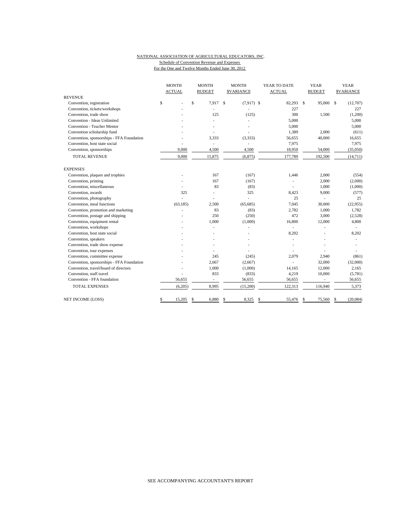# NATIONAL ASSOCIATION OF AGRICULTURAL EDUCATORS, INC. Schedule of Convention Revenue and Expenses

For the One and Twelve Months Ended June 30, 2012

|                                           | <b>MONTH</b>  | <b>MONTH</b>             | <b>MONTH</b>             | YEAR TO DATE  | <b>YEAR</b>     | <b>YEAR</b>      |  |
|-------------------------------------------|---------------|--------------------------|--------------------------|---------------|-----------------|------------------|--|
|                                           | <b>ACTUAL</b> | <b>BUDGET</b>            | <b>SVARIANCE</b>         | <b>ACTUAL</b> | <b>BUDGET</b>   | <b>SVARIANCE</b> |  |
| <b>REVENUE</b>                            |               |                          |                          |               |                 |                  |  |
| Convention, registration                  | \$            | \$<br>7.917              | \$<br>$(7,917)$ \$       | 82,293        | \$<br>95,000 \$ | (12,707)         |  |
| Convention, tickets/workshops             |               |                          |                          | 227           |                 | 227              |  |
| Convention, trade show                    |               | 125                      | (125)                    | 300           | 1,500           | (1,200)          |  |
| Convention - Ideas Unlimited              |               |                          | ÷.                       | 5,000         |                 | 5,000            |  |
| Convention - Teacher Mentor               |               |                          |                          | 5,000         |                 | 5,000            |  |
| Convention scholarship fund               |               |                          |                          | 1,389         | 2,000           | (611)            |  |
| Convention, sponsorships - FFA Foundation |               | 3,333                    | (3,333)                  | 56,655        | 40,000          | 16,655           |  |
| Convention, host state social             |               | ä,                       | ä,                       | 7,975         |                 | 7,975            |  |
| Convention, sponsorships                  | 9,000         | 4,500                    | 4,500                    | 18,950        | 54,000          | (35,050)         |  |
| <b>TOTAL REVENUE</b>                      | 9,000         | 15,875                   | (6, 875)                 | 177,789       | 192,500         | (14, 711)        |  |
| <b>EXPENSES</b>                           |               |                          |                          |               |                 |                  |  |
| Convention, plaques and trophies          |               | 167                      | (167)                    | 1,446         | 2,000           | (554)            |  |
| Convention, printing                      |               | 167                      | (167)                    |               | 2,000           | (2,000)          |  |
| Convention, miscellaneous                 |               | 83                       | (83)                     |               | 1,000           | (1,000)          |  |
| Convention, awards                        | 325           | $\overline{a}$           | 325                      | 8,423         | 9,000           | (577)            |  |
| Convention, photography                   | ÷             |                          | $\overline{\phantom{a}}$ | 25            |                 | 25               |  |
| Convention, meal functions                | (63, 185)     | 2.500                    | (65,685)                 | 7,045         | 30,000          | (22, 955)        |  |
| Convention, promotion and marketing       |               | 83                       | (83)                     | 2,782         | 1,000           | 1,782            |  |
| Convention, postage and shipping          |               | 250                      | (250)                    | 472           | 3,000           | (2,528)          |  |
| Convention, equipment rental              |               | 1,000                    | (1,000)                  | 16,800        | 12,000          | 4,800            |  |
| Convention, workshops                     |               |                          |                          |               |                 |                  |  |
| Convention, host state social             |               |                          |                          | 8,202         |                 | 8,202            |  |
| Convention, speakers                      |               |                          |                          |               |                 |                  |  |
| Convention, trade show expense            |               |                          |                          |               |                 |                  |  |
| Convention, tour expenses                 |               |                          |                          |               |                 |                  |  |
| Convention, committee expense             |               | 245                      | (245)                    | 2,079         | 2,940           | (861)            |  |
| Convention, sponsorships - FFA Foundation |               | 2,667                    | (2,667)                  |               | 32,000          | (32,000)         |  |
| Convention, travel/board of directors     |               | 1,000                    | (1,000)                  | 14,165        | 12,000          | 2,165            |  |
| Convention, staff travel                  |               | 833                      | (833)                    | 4,219         | 10,000          | (5,781)          |  |
| Convention - FFA foundation               | 56,655        | $\overline{\phantom{a}}$ | 56,655                   | 56,655        |                 | 56,655           |  |
| <b>TOTAL EXPENSES</b>                     | (6,205)       | 8,995                    | (15,200)                 | 122,313       | 116,940         | 5,373            |  |
| <b>NET INCOME (LOSS)</b>                  | \$<br>15,205  | 6,880<br>\$              | 8,325<br>\$              | \$<br>55,476  | 75,560<br>-S    | (20,084)         |  |